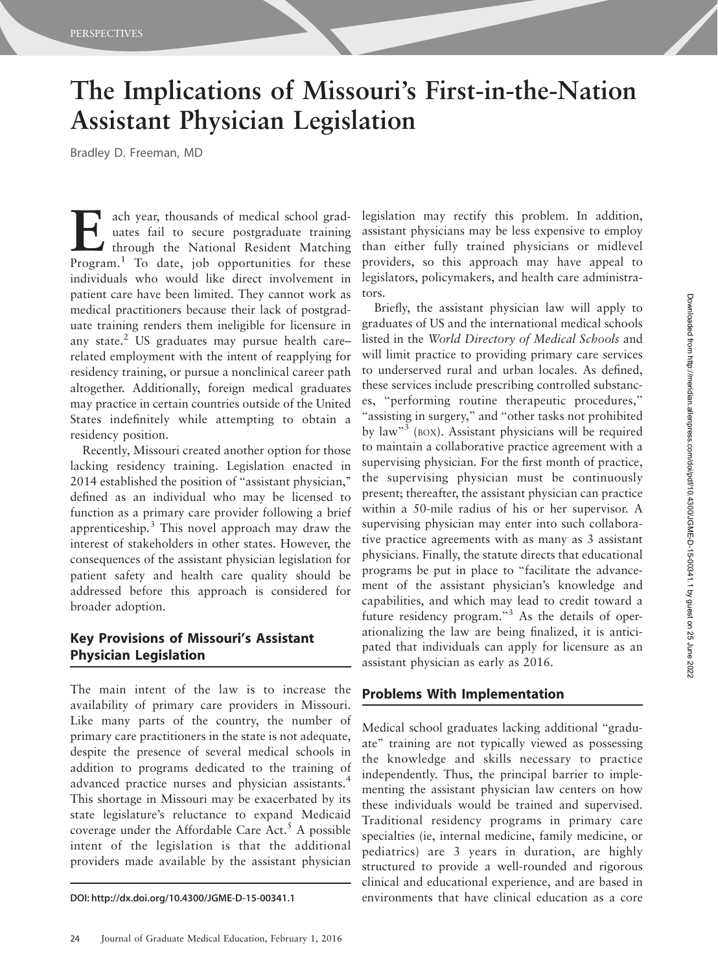# The Implications of Missouri's First-in-the-Nation Assistant Physician Legislation

Bradley D. Freeman, MD

Each year, thousands of medical school grad-<br>through the National Resident Matching<br>Program<sup>1</sup> To date, job opportunities for these uates fail to secure postgraduate training Program.<sup>1</sup> To date, job opportunities for these individuals who would like direct involvement in patient care have been limited. They cannot work as medical practitioners because their lack of postgraduate training renders them ineligible for licensure in any state. $2$  US graduates may pursue health care– related employment with the intent of reapplying for residency training, or pursue a nonclinical career path altogether. Additionally, foreign medical graduates may practice in certain countries outside of the United States indefinitely while attempting to obtain a residency position.

Recently, Missouri created another option for those lacking residency training. Legislation enacted in 2014 established the position of ''assistant physician,'' defined as an individual who may be licensed to function as a primary care provider following a brief apprenticeship.<sup>3</sup> This novel approach may draw the interest of stakeholders in other states. However, the consequences of the assistant physician legislation for patient safety and health care quality should be addressed before this approach is considered for broader adoption.

### Key Provisions of Missouri's Assistant Physician Legislation

The main intent of the law is to increase the availability of primary care providers in Missouri. Like many parts of the country, the number of primary care practitioners in the state is not adequate, despite the presence of several medical schools in addition to programs dedicated to the training of advanced practice nurses and physician assistants.4 This shortage in Missouri may be exacerbated by its state legislature's reluctance to expand Medicaid coverage under the Affordable Care  $Act.^5$  A possible intent of the legislation is that the additional providers made available by the assistant physician

legislation may rectify this problem. In addition, assistant physicians may be less expensive to employ than either fully trained physicians or midlevel providers, so this approach may have appeal to legislators, policymakers, and health care administrators.

Briefly, the assistant physician law will apply to graduates of US and the international medical schools listed in the World Directory of Medical Schools and will limit practice to providing primary care services to underserved rural and urban locales. As defined, these services include prescribing controlled substances, ''performing routine therapeutic procedures,'' "assisting in surgery," and "other tasks not prohibited by law"<sup>3</sup> (BOX). Assistant physicians will be required to maintain a collaborative practice agreement with a supervising physician. For the first month of practice, the supervising physician must be continuously present; thereafter, the assistant physician can practice within a 50-mile radius of his or her supervisor. A supervising physician may enter into such collaborative practice agreements with as many as 3 assistant physicians. Finally, the statute directs that educational programs be put in place to ''facilitate the advancement of the assistant physician's knowledge and capabilities, and which may lead to credit toward a future residency program."<sup>3</sup> As the details of operationalizing the law are being finalized, it is anticipated that individuals can apply for licensure as an assistant physician as early as 2016.

#### Problems With Implementation

Medical school graduates lacking additional ''graduate'' training are not typically viewed as possessing the knowledge and skills necessary to practice independently. Thus, the principal barrier to implementing the assistant physician law centers on how these individuals would be trained and supervised. Traditional residency programs in primary care specialties (ie, internal medicine, family medicine, or pediatrics) are 3 years in duration, are highly structured to provide a well-rounded and rigorous clinical and educational experience, and are based in DOI: http://dx.doi.org/10.4300/JGME-D-15-00341.1 environments that have clinical education as a core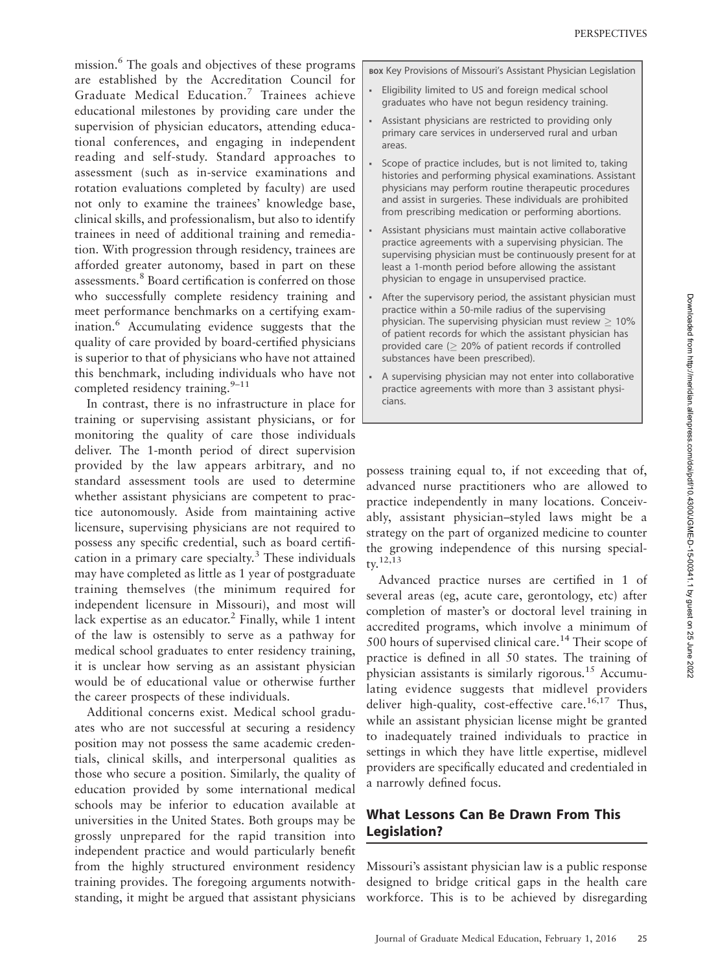mission.<sup>6</sup> The goals and objectives of these programs are established by the Accreditation Council for Graduate Medical Education.<sup>7</sup> Trainees achieve educational milestones by providing care under the supervision of physician educators, attending educational conferences, and engaging in independent reading and self-study. Standard approaches to assessment (such as in-service examinations and rotation evaluations completed by faculty) are used not only to examine the trainees' knowledge base, clinical skills, and professionalism, but also to identify trainees in need of additional training and remediation. With progression through residency, trainees are afforded greater autonomy, based in part on these assessments.<sup>8</sup> Board certification is conferred on those who successfully complete residency training and meet performance benchmarks on a certifying examination.6 Accumulating evidence suggests that the quality of care provided by board-certified physicians is superior to that of physicians who have not attained this benchmark, including individuals who have not completed residency training. $9-11$ 

In contrast, there is no infrastructure in place for training or supervising assistant physicians, or for monitoring the quality of care those individuals deliver. The 1-month period of direct supervision provided by the law appears arbitrary, and no standard assessment tools are used to determine whether assistant physicians are competent to practice autonomously. Aside from maintaining active licensure, supervising physicians are not required to possess any specific credential, such as board certification in a primary care specialty. $3$  These individuals may have completed as little as 1 year of postgraduate training themselves (the minimum required for independent licensure in Missouri), and most will lack expertise as an educator. $^2$  Finally, while 1 intent of the law is ostensibly to serve as a pathway for medical school graduates to enter residency training, it is unclear how serving as an assistant physician would be of educational value or otherwise further the career prospects of these individuals.

Additional concerns exist. Medical school graduates who are not successful at securing a residency position may not possess the same academic credentials, clinical skills, and interpersonal qualities as those who secure a position. Similarly, the quality of education provided by some international medical schools may be inferior to education available at universities in the United States. Both groups may be grossly unprepared for the rapid transition into independent practice and would particularly benefit from the highly structured environment residency training provides. The foregoing arguments notwithstanding, it might be argued that assistant physicians BOX Key Provisions of Missouri's Assistant Physician Legislation

- Eligibility limited to US and foreign medical school graduates who have not begun residency training.
- Assistant physicians are restricted to providing only primary care services in underserved rural and urban areas.
- Scope of practice includes, but is not limited to, taking histories and performing physical examinations. Assistant physicians may perform routine therapeutic procedures and assist in surgeries. These individuals are prohibited from prescribing medication or performing abortions.
- & Assistant physicians must maintain active collaborative practice agreements with a supervising physician. The supervising physician must be continuously present for at least a 1-month period before allowing the assistant physician to engage in unsupervised practice.
- After the supervisory period, the assistant physician must practice within a 50-mile radius of the supervising physician. The supervising physician must review  $\geq 10\%$ of patient records for which the assistant physician has provided care ( $\geq$  20% of patient records if controlled substances have been prescribed).
- & A supervising physician may not enter into collaborative practice agreements with more than 3 assistant physicians.

possess training equal to, if not exceeding that of, advanced nurse practitioners who are allowed to practice independently in many locations. Conceivably, assistant physician–styled laws might be a strategy on the part of organized medicine to counter the growing independence of this nursing special $tv$ <sup>12,13</sup>

Advanced practice nurses are certified in 1 of several areas (eg, acute care, gerontology, etc) after completion of master's or doctoral level training in accredited programs, which involve a minimum of 500 hours of supervised clinical care.<sup>14</sup> Their scope of practice is defined in all 50 states. The training of physician assistants is similarly rigorous.<sup>15</sup> Accumulating evidence suggests that midlevel providers deliver high-quality, cost-effective care.<sup>16,17</sup> Thus, while an assistant physician license might be granted to inadequately trained individuals to practice in settings in which they have little expertise, midlevel providers are specifically educated and credentialed in a narrowly defined focus.

## What Lessons Can Be Drawn From This Legislation?

Missouri's assistant physician law is a public response designed to bridge critical gaps in the health care workforce. This is to be achieved by disregarding